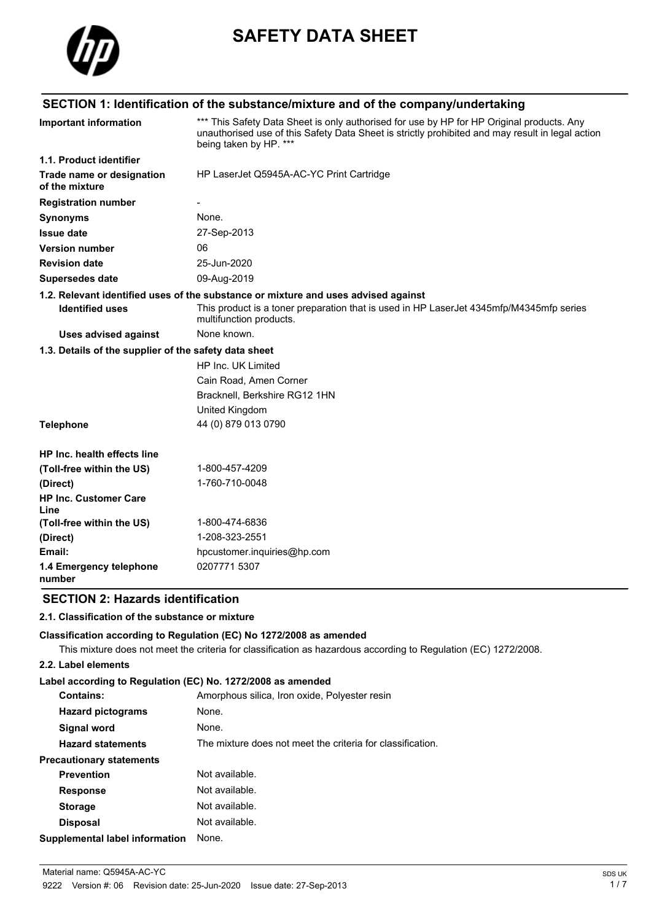

# **SAFETY DATA SHEET**

## **SECTION 1: Identification of the substance/mixture and of the company/undertaking**

| <b>Important information</b>                          | *** This Safety Data Sheet is only authorised for use by HP for HP Original products. Any<br>unauthorised use of this Safety Data Sheet is strictly prohibited and may result in legal action<br>being taken by HP. *** |  |  |
|-------------------------------------------------------|-------------------------------------------------------------------------------------------------------------------------------------------------------------------------------------------------------------------------|--|--|
| 1.1. Product identifier                               |                                                                                                                                                                                                                         |  |  |
| Trade name or designation<br>of the mixture           | HP LaserJet Q5945A-AC-YC Print Cartridge                                                                                                                                                                                |  |  |
| <b>Registration number</b>                            |                                                                                                                                                                                                                         |  |  |
| <b>Synonyms</b>                                       | None.                                                                                                                                                                                                                   |  |  |
| <b>Issue date</b>                                     | 27-Sep-2013                                                                                                                                                                                                             |  |  |
| <b>Version number</b>                                 | 06                                                                                                                                                                                                                      |  |  |
| <b>Revision date</b>                                  | 25-Jun-2020                                                                                                                                                                                                             |  |  |
| <b>Supersedes date</b>                                | 09-Aug-2019                                                                                                                                                                                                             |  |  |
|                                                       | 1.2. Relevant identified uses of the substance or mixture and uses advised against                                                                                                                                      |  |  |
| <b>Identified uses</b>                                | This product is a toner preparation that is used in HP LaserJet 4345mfp/M4345mfp series<br>multifunction products.                                                                                                      |  |  |
| Uses advised against                                  | None known.                                                                                                                                                                                                             |  |  |
| 1.3. Details of the supplier of the safety data sheet |                                                                                                                                                                                                                         |  |  |
|                                                       | HP Inc. UK Limited                                                                                                                                                                                                      |  |  |
|                                                       | Cain Road, Amen Corner                                                                                                                                                                                                  |  |  |
|                                                       | Bracknell, Berkshire RG12 1HN                                                                                                                                                                                           |  |  |
|                                                       | United Kingdom                                                                                                                                                                                                          |  |  |
| <b>Telephone</b>                                      | 44 (0) 879 013 0790                                                                                                                                                                                                     |  |  |
| HP Inc. health effects line                           |                                                                                                                                                                                                                         |  |  |
| (Toll-free within the US)                             | 1-800-457-4209                                                                                                                                                                                                          |  |  |
| (Direct)                                              | 1-760-710-0048                                                                                                                                                                                                          |  |  |
| <b>HP Inc. Customer Care</b><br>Line                  |                                                                                                                                                                                                                         |  |  |
| (Toll-free within the US)                             | 1-800-474-6836                                                                                                                                                                                                          |  |  |
| (Direct)                                              | 1-208-323-2551                                                                                                                                                                                                          |  |  |
| Email:                                                | hpcustomer.inquiries@hp.com                                                                                                                                                                                             |  |  |
| 1.4 Emergency telephone<br>number                     | 0207771 5307                                                                                                                                                                                                            |  |  |

### **SECTION 2: Hazards identification**

### **2.1. Classification of the substance or mixture**

### **Classification according to Regulation (EC) No 1272/2008 as amended**

This mixture does not meet the criteria for classification as hazardous according to Regulation (EC) 1272/2008.

### **2.2. Label elements**

#### **Label according to Regulation (EC) No. 1272/2008 as amended**

| <b>Contains:</b>                      | Amorphous silica, Iron oxide, Polyester resin              |
|---------------------------------------|------------------------------------------------------------|
| <b>Hazard pictograms</b>              | None.                                                      |
| Signal word                           | None.                                                      |
| <b>Hazard statements</b>              | The mixture does not meet the criteria for classification. |
| <b>Precautionary statements</b>       |                                                            |
| <b>Prevention</b>                     | Not available.                                             |
| <b>Response</b>                       | Not available.                                             |
| <b>Storage</b>                        | Not available.                                             |
| <b>Disposal</b>                       | Not available.                                             |
| <b>Supplemental label information</b> | None.                                                      |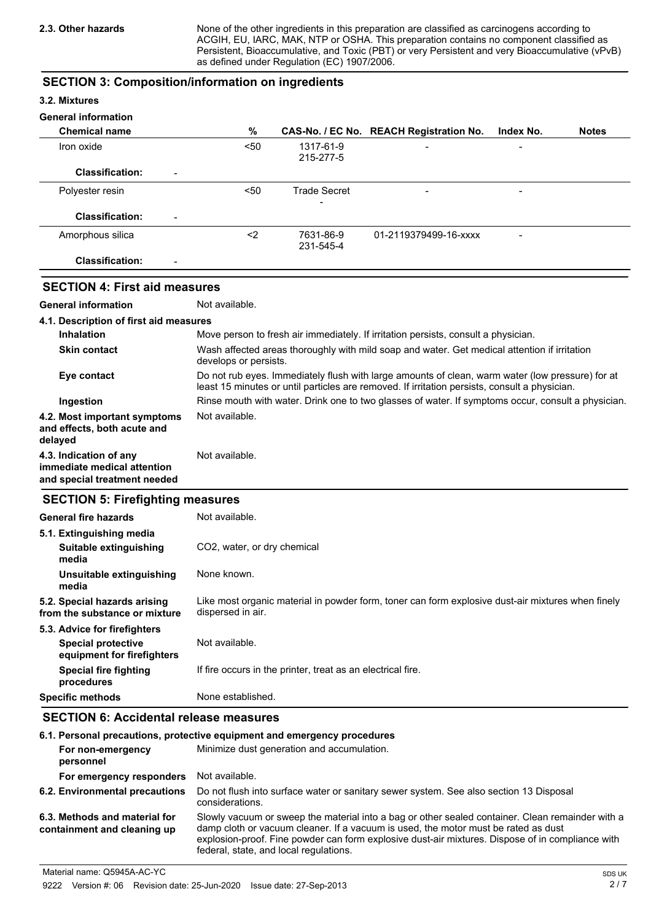None of the other ingredients in this preparation are classified as carcinogens according to ACGIH, EU, IARC, MAK, NTP or OSHA. This preparation contains no component classified as Persistent, Bioaccumulative, and Toxic (PBT) or very Persistent and very Bioaccumulative (vPvB) as defined under Regulation (EC) 1907/2006.

### **SECTION 3: Composition/information on ingredients**

### **3.2. Mixtures**

### **General information**

| <b>Chemical name</b>                               | %    |                        | CAS-No. / EC No. REACH Registration No. | Index No.                | <b>Notes</b> |
|----------------------------------------------------|------|------------------------|-----------------------------------------|--------------------------|--------------|
| Iron oxide                                         | $50$ | 1317-61-9<br>215-277-5 | $\overline{\phantom{0}}$                | $\overline{\phantom{0}}$ |              |
| <b>Classification:</b><br>$\overline{\phantom{a}}$ |      |                        |                                         |                          |              |
| Polyester resin                                    | 50<  | <b>Trade Secret</b>    | $\qquad \qquad$                         | -                        |              |
| <b>Classification:</b><br>$\overline{\phantom{0}}$ |      |                        |                                         |                          |              |
| Amorphous silica                                   | <2   | 7631-86-9<br>231-545-4 | 01-2119379499-16-xxxx                   | $\overline{\phantom{a}}$ |              |
| <b>Classification:</b><br>۰                        |      |                        |                                         |                          |              |

### **SECTION 4: First aid measures**

**General information** Not available.

| 4.1. Description of first aid measures                                                |                                                                                                                                                                                                   |
|---------------------------------------------------------------------------------------|---------------------------------------------------------------------------------------------------------------------------------------------------------------------------------------------------|
| <b>Inhalation</b>                                                                     | Move person to fresh air immediately. If irritation persists, consult a physician.                                                                                                                |
| <b>Skin contact</b>                                                                   | Wash affected areas thoroughly with mild soap and water. Get medical attention if irritation<br>develops or persists.                                                                             |
| Eye contact                                                                           | Do not rub eyes. Immediately flush with large amounts of clean, warm water (low pressure) for at<br>least 15 minutes or until particles are removed. If irritation persists, consult a physician. |
| Ingestion                                                                             | Rinse mouth with water. Drink one to two glasses of water. If symptoms occur, consult a physician.                                                                                                |
| 4.2. Most important symptoms<br>and effects, both acute and<br>delayed                | Not available.                                                                                                                                                                                    |
| 4.3. Indication of any<br>immediate medical attention<br>and special treatment needed | Not available.                                                                                                                                                                                    |

### **SECTION 5: Firefighting measures**

| General fire hazards                                          | Not available.                                                                                                         |
|---------------------------------------------------------------|------------------------------------------------------------------------------------------------------------------------|
| 5.1. Extinguishing media                                      |                                                                                                                        |
| Suitable extinguishing<br>media                               | CO2, water, or dry chemical                                                                                            |
| Unsuitable extinguishing<br>media                             | None known.                                                                                                            |
| 5.2. Special hazards arising<br>from the substance or mixture | Like most organic material in powder form, toner can form explosive dust-air mixtures when finely<br>dispersed in air. |
| 5.3. Advice for firefighters                                  |                                                                                                                        |
| <b>Special protective</b><br>equipment for firefighters       | Not available.                                                                                                         |
| Special fire fighting<br>procedures                           | If fire occurs in the printer, treat as an electrical fire.                                                            |
| <b>Specific methods</b>                                       | None established.                                                                                                      |

### **SECTION 6: Accidental release measures**

|                                                              | 6.1. Personal precautions, protective equipment and emergency procedures                                                                                                                                                                                                                                                             |
|--------------------------------------------------------------|--------------------------------------------------------------------------------------------------------------------------------------------------------------------------------------------------------------------------------------------------------------------------------------------------------------------------------------|
| For non-emergency<br>personnel                               | Minimize dust generation and accumulation.                                                                                                                                                                                                                                                                                           |
| For emergency responders                                     | Not available.                                                                                                                                                                                                                                                                                                                       |
| 6.2. Environmental precautions                               | Do not flush into surface water or sanitary sewer system. See also section 13 Disposal<br>considerations.                                                                                                                                                                                                                            |
| 6.3. Methods and material for<br>containment and cleaning up | Slowly vacuum or sweep the material into a bag or other sealed container. Clean remainder with a<br>damp cloth or vacuum cleaner. If a vacuum is used, the motor must be rated as dust<br>explosion-proof. Fine powder can form explosive dust-air mixtures. Dispose of in compliance with<br>federal, state, and local regulations. |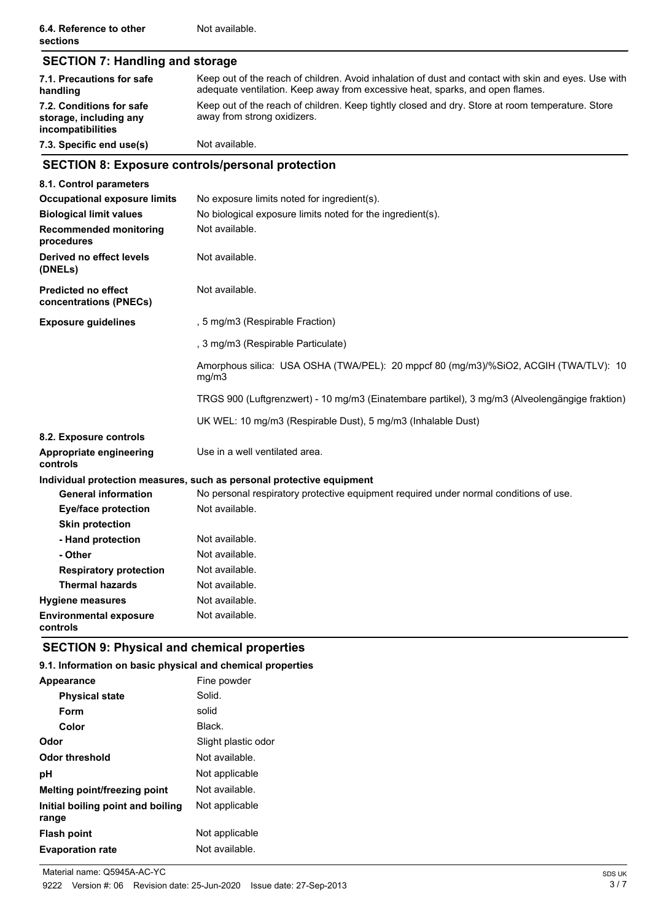| <b>SECTION 7: Handling and storage</b>                                  |                                                                                                                                                                                                                                                                                                                          |  |  |
|-------------------------------------------------------------------------|--------------------------------------------------------------------------------------------------------------------------------------------------------------------------------------------------------------------------------------------------------------------------------------------------------------------------|--|--|
| 7.1. Precautions for safe<br>handling                                   | Keep out of the reach of children. Avoid inhalation of dust and contact with skin and eyes. Use with<br>adequate ventilation. Keep away from excessive heat, sparks, and open flames.<br>Keep out of the reach of children. Keep tightly closed and dry. Store at room temperature. Store<br>away from strong oxidizers. |  |  |
| 7.2. Conditions for safe<br>storage, including any<br>incompatibilities |                                                                                                                                                                                                                                                                                                                          |  |  |
| 7.3. Specific end use(s)                                                | Not available.                                                                                                                                                                                                                                                                                                           |  |  |
|                                                                         | <b>SECTION 8: Exposure controls/personal protection</b>                                                                                                                                                                                                                                                                  |  |  |
| 8.1. Control parameters                                                 |                                                                                                                                                                                                                                                                                                                          |  |  |
| <b>Occupational exposure limits</b>                                     | No exposure limits noted for ingredient(s).                                                                                                                                                                                                                                                                              |  |  |
| <b>Biological limit values</b>                                          | No biological exposure limits noted for the ingredient(s).                                                                                                                                                                                                                                                               |  |  |
| <b>Recommended monitoring</b><br>procedures                             | Not available.                                                                                                                                                                                                                                                                                                           |  |  |
| Derived no effect levels<br>(DNELs)                                     | Not available.                                                                                                                                                                                                                                                                                                           |  |  |
| <b>Predicted no effect</b><br>concentrations (PNECs)                    | Not available.                                                                                                                                                                                                                                                                                                           |  |  |
| <b>Exposure guidelines</b>                                              | , 5 mg/m3 (Respirable Fraction)                                                                                                                                                                                                                                                                                          |  |  |
|                                                                         | , 3 mg/m3 (Respirable Particulate)                                                                                                                                                                                                                                                                                       |  |  |
|                                                                         | Amorphous silica: USA OSHA (TWA/PEL): 20 mppcf 80 (mg/m3)/%SiO2, ACGIH (TWA/TLV): 10<br>mg/m3                                                                                                                                                                                                                            |  |  |
|                                                                         | TRGS 900 (Luftgrenzwert) - 10 mg/m3 (Einatembare partikel), 3 mg/m3 (Alveolengängige fraktion)                                                                                                                                                                                                                           |  |  |
|                                                                         | UK WEL: 10 mg/m3 (Respirable Dust), 5 mg/m3 (Inhalable Dust)                                                                                                                                                                                                                                                             |  |  |
| 8.2. Exposure controls                                                  |                                                                                                                                                                                                                                                                                                                          |  |  |
| Appropriate engineering<br>controls                                     | Use in a well ventilated area.                                                                                                                                                                                                                                                                                           |  |  |
|                                                                         | Individual protection measures, such as personal protective equipment                                                                                                                                                                                                                                                    |  |  |
| <b>General information</b>                                              | No personal respiratory protective equipment required under normal conditions of use.                                                                                                                                                                                                                                    |  |  |
| <b>Eye/face protection</b>                                              | Not available.                                                                                                                                                                                                                                                                                                           |  |  |
| <b>Skin protection</b>                                                  |                                                                                                                                                                                                                                                                                                                          |  |  |
| - Hand protection                                                       | Not available.                                                                                                                                                                                                                                                                                                           |  |  |
| - Other                                                                 | Not available.                                                                                                                                                                                                                                                                                                           |  |  |
| <b>Respiratory protection</b>                                           | Not available.                                                                                                                                                                                                                                                                                                           |  |  |
| <b>Thermal hazards</b>                                                  | Not available.                                                                                                                                                                                                                                                                                                           |  |  |
| <b>Hygiene measures</b>                                                 | Not available.                                                                                                                                                                                                                                                                                                           |  |  |
| <b>Environmental exposure</b><br>controls                               | Not available.                                                                                                                                                                                                                                                                                                           |  |  |

### **SECTION 9: Physical and chemical properties**

### **9.1. Information on basic physical and chemical properties**

| <b>Appearance</b>                          | Fine powder         |
|--------------------------------------------|---------------------|
| <b>Physical state</b>                      | Solid.              |
| Form                                       | solid               |
| Color                                      | Black.              |
| Odor                                       | Slight plastic odor |
| <b>Odor threshold</b>                      | Not available.      |
| рH                                         | Not applicable      |
| <b>Melting point/freezing point</b>        | Not available.      |
| Initial boiling point and boiling<br>range | Not applicable      |
| <b>Flash point</b>                         | Not applicable      |
| <b>Evaporation rate</b>                    | Not available.      |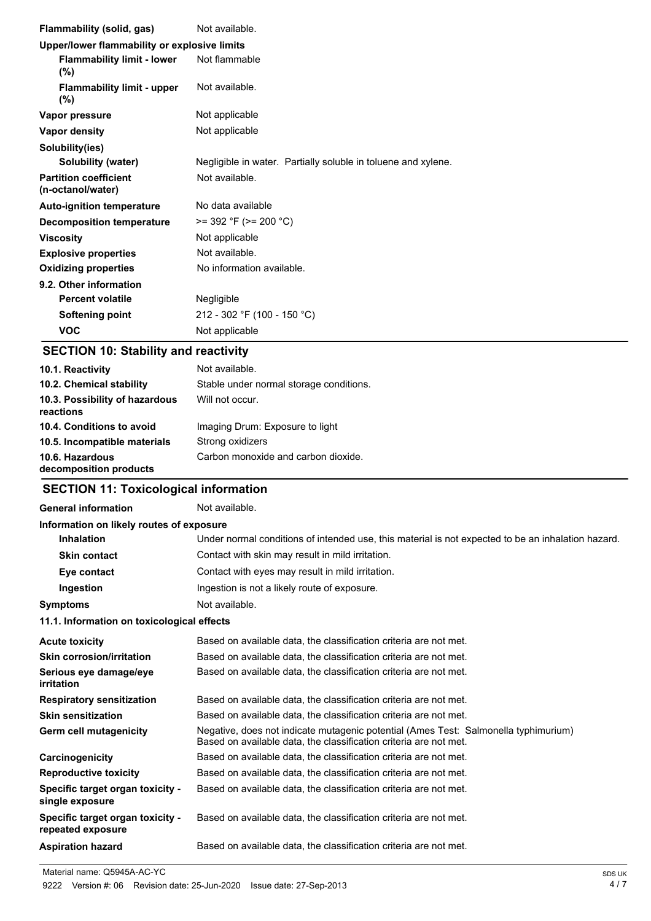| Flammability (solid, gas)                         | Not available.                                                |
|---------------------------------------------------|---------------------------------------------------------------|
| Upper/lower flammability or explosive limits      |                                                               |
| <b>Flammability limit - lower</b><br>$(\% )$      | Not flammable                                                 |
| <b>Flammability limit - upper</b><br>$(\%)$       | Not available.                                                |
| Vapor pressure                                    | Not applicable                                                |
| Vapor density                                     | Not applicable                                                |
| Solubility(ies)                                   |                                                               |
| Solubility (water)                                | Negligible in water. Partially soluble in toluene and xylene. |
| <b>Partition coefficient</b><br>(n-octanol/water) | Not available.                                                |
| <b>Auto-ignition temperature</b>                  | No data available                                             |
| Decomposition temperature                         | $>= 392 \text{ }^{\circ}F (>= 200 \text{ }^{\circ}C)$         |
| <b>Viscosity</b>                                  | Not applicable                                                |
| <b>Explosive properties</b>                       | Not available.                                                |
| <b>Oxidizing properties</b>                       | No information available.                                     |
| 9.2. Other information                            |                                                               |
| <b>Percent volatile</b>                           | Negligible                                                    |
| Softening point                                   | 212 - 302 °F (100 - 150 °C)                                   |
| <b>VOC</b>                                        | Not applicable                                                |

### **SECTION 10: Stability and reactivity**

| 10.1. Reactivity                            | Not available.                          |
|---------------------------------------------|-----------------------------------------|
| 10.2. Chemical stability                    | Stable under normal storage conditions. |
| 10.3. Possibility of hazardous<br>reactions | Will not occur.                         |
| 10.4. Conditions to avoid                   | Imaging Drum: Exposure to light         |
| 10.5. Incompatible materials                | Strong oxidizers                        |
| 10.6. Hazardous<br>decomposition products   | Carbon monoxide and carbon dioxide.     |

# **SECTION 11: Toxicological information**

| <b>General information</b>                            | Not available.                                                                                                                                           |  |  |  |
|-------------------------------------------------------|----------------------------------------------------------------------------------------------------------------------------------------------------------|--|--|--|
| Information on likely routes of exposure              |                                                                                                                                                          |  |  |  |
| <b>Inhalation</b>                                     | Under normal conditions of intended use, this material is not expected to be an inhalation hazard.                                                       |  |  |  |
| <b>Skin contact</b>                                   | Contact with skin may result in mild irritation.                                                                                                         |  |  |  |
| Eye contact                                           | Contact with eyes may result in mild irritation.                                                                                                         |  |  |  |
| Ingestion                                             | Ingestion is not a likely route of exposure.                                                                                                             |  |  |  |
| <b>Symptoms</b>                                       | Not available.                                                                                                                                           |  |  |  |
| 11.1. Information on toxicological effects            |                                                                                                                                                          |  |  |  |
| <b>Acute toxicity</b>                                 | Based on available data, the classification criteria are not met.                                                                                        |  |  |  |
| <b>Skin corrosion/irritation</b>                      | Based on available data, the classification criteria are not met.                                                                                        |  |  |  |
| Serious eye damage/eye<br>irritation                  | Based on available data, the classification criteria are not met.                                                                                        |  |  |  |
| <b>Respiratory sensitization</b>                      | Based on available data, the classification criteria are not met.                                                                                        |  |  |  |
| <b>Skin sensitization</b>                             | Based on available data, the classification criteria are not met.                                                                                        |  |  |  |
| Germ cell mutagenicity                                | Negative, does not indicate mutagenic potential (Ames Test: Salmonella typhimurium)<br>Based on available data, the classification criteria are not met. |  |  |  |
| Carcinogenicity                                       | Based on available data, the classification criteria are not met.                                                                                        |  |  |  |
| <b>Reproductive toxicity</b>                          | Based on available data, the classification criteria are not met.                                                                                        |  |  |  |
| Specific target organ toxicity -<br>single exposure   | Based on available data, the classification criteria are not met.                                                                                        |  |  |  |
| Specific target organ toxicity -<br>repeated exposure | Based on available data, the classification criteria are not met.                                                                                        |  |  |  |
| <b>Aspiration hazard</b>                              | Based on available data, the classification criteria are not met.                                                                                        |  |  |  |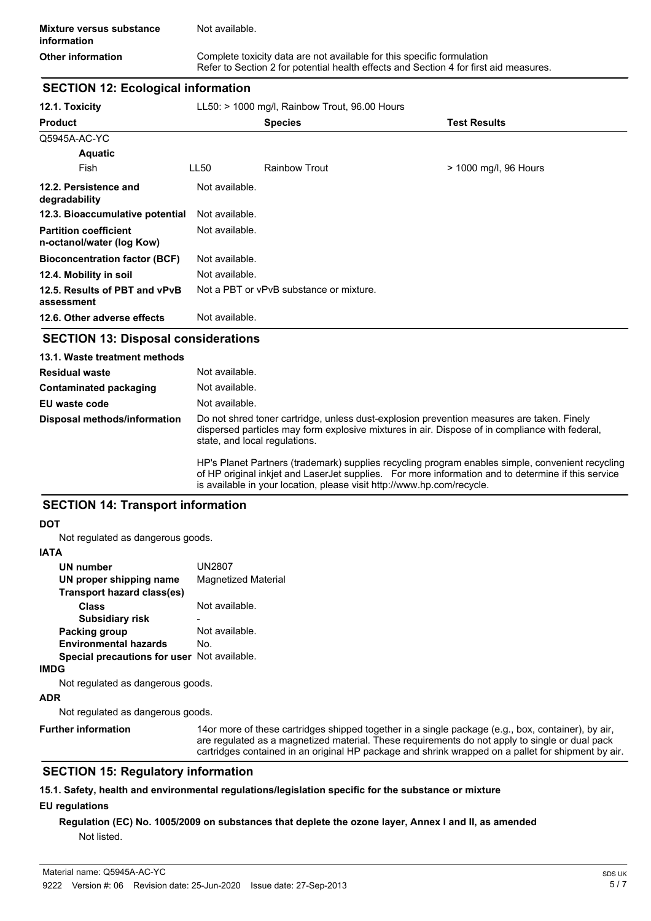**Other information Complete toxicity data are not available for this specific formulation** Refer to Section 2 for potential health effects and Section 4 for first aid measures.

### **SECTION 12: Ecological information**

| 12.1. Toxicity                                            | $LL50:$ > 1000 mg/l, Rainbow Trout, 96.00 Hours |                                         |                       |  |
|-----------------------------------------------------------|-------------------------------------------------|-----------------------------------------|-----------------------|--|
| <b>Product</b>                                            |                                                 | <b>Species</b>                          | <b>Test Results</b>   |  |
| Q5945A-AC-YC                                              |                                                 |                                         |                       |  |
| <b>Aquatic</b>                                            |                                                 |                                         |                       |  |
| Fish                                                      | LL50                                            | <b>Rainbow Trout</b>                    | > 1000 mg/l, 96 Hours |  |
| 12.2. Persistence and<br>degradability                    | Not available.                                  |                                         |                       |  |
| 12.3. Bioaccumulative potential                           | Not available.                                  |                                         |                       |  |
| <b>Partition coefficient</b><br>n-octanol/water (log Kow) | Not available.                                  |                                         |                       |  |
| <b>Bioconcentration factor (BCF)</b>                      | Not available.                                  |                                         |                       |  |
| 12.4. Mobility in soil                                    | Not available.                                  |                                         |                       |  |
| 12.5. Results of PBT and vPvB<br>assessment               |                                                 | Not a PBT or vPvB substance or mixture. |                       |  |
| 12.6. Other adverse effects                               | Not available.                                  |                                         |                       |  |

### **SECTION 13: Disposal considerations**

| 13.1. Waste treatment methods |                                                                                                                                                                                                                              |
|-------------------------------|------------------------------------------------------------------------------------------------------------------------------------------------------------------------------------------------------------------------------|
| <b>Residual waste</b>         | Not available.                                                                                                                                                                                                               |
| Contaminated packaging        | Not available.                                                                                                                                                                                                               |
| EU waste code                 | Not available.                                                                                                                                                                                                               |
| Disposal methods/information  | Do not shred toner cartridge, unless dust-explosion prevention measures are taken. Finely<br>dispersed particles may form explosive mixtures in air. Dispose of in compliance with federal,<br>state, and local regulations. |
|                               | HP's Planet Partners (trademark) supplies recycling program enables simple, convenient recycling<br>af HD administrational Lacentet considers. Expresso information and to determine if this compo                           |

of HP original inkjet and LaserJet supplies. For more information and to determine if this service is available in your location, please visit http://www.hp.com/recycle.

### **SECTION 14: Transport information**

#### **DOT**

Not regulated as dangerous goods.

#### **IATA**

| <b>UN number</b>                                   | <b>UN2807</b>       |
|----------------------------------------------------|---------------------|
| UN proper shipping name                            | Magnetized Material |
| Transport hazard class(es)                         |                     |
| Class                                              | Not available.      |
| <b>Subsidiary risk</b>                             |                     |
| Packing group                                      | Not available.      |
| <b>Environmental hazards</b>                       | No.                 |
| <b>Special precautions for user</b> Not available. |                     |
|                                                    |                     |

#### **IMDG**

Not regulated as dangerous goods.

#### **ADR**

Not regulated as dangerous goods.

**Further information**

14or more of these cartridges shipped together in a single package (e.g., box, container), by air, are regulated as a magnetized material. These requirements do not apply to single or dual pack cartridges contained in an original HP package and shrink wrapped on a pallet for shipment by air.

### **SECTION 15: Regulatory information**

## **15.1. Safety, health and environmental regulations/legislation specific for the substance or mixture**

### **EU regulations**

### **Regulation (EC) No. 1005/2009 on substances that deplete the ozone layer, Annex I and II, as amended** Not listed.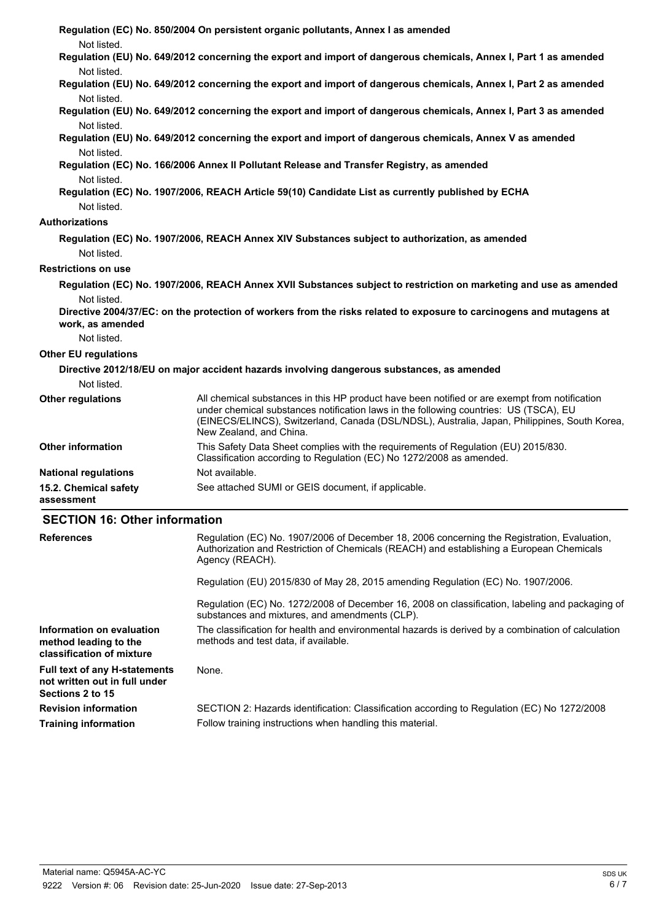| Not listed.                          | Regulation (EC) No. 850/2004 On persistent organic pollutants, Annex I as amended                                                                                                                                                                                                                                 |
|--------------------------------------|-------------------------------------------------------------------------------------------------------------------------------------------------------------------------------------------------------------------------------------------------------------------------------------------------------------------|
|                                      | Regulation (EU) No. 649/2012 concerning the export and import of dangerous chemicals, Annex I, Part 1 as amended                                                                                                                                                                                                  |
| Not listed.                          |                                                                                                                                                                                                                                                                                                                   |
| Not listed.                          | Regulation (EU) No. 649/2012 concerning the export and import of dangerous chemicals, Annex I, Part 2 as amended                                                                                                                                                                                                  |
| Not listed.                          | Regulation (EU) No. 649/2012 concerning the export and import of dangerous chemicals, Annex I, Part 3 as amended                                                                                                                                                                                                  |
|                                      | Regulation (EU) No. 649/2012 concerning the export and import of dangerous chemicals, Annex V as amended                                                                                                                                                                                                          |
| Not listed.                          |                                                                                                                                                                                                                                                                                                                   |
| Not listed.                          | Regulation (EC) No. 166/2006 Annex II Pollutant Release and Transfer Registry, as amended                                                                                                                                                                                                                         |
|                                      | Regulation (EC) No. 1907/2006, REACH Article 59(10) Candidate List as currently published by ECHA                                                                                                                                                                                                                 |
| Not listed.                          |                                                                                                                                                                                                                                                                                                                   |
| Authorizations                       |                                                                                                                                                                                                                                                                                                                   |
|                                      | Regulation (EC) No. 1907/2006, REACH Annex XIV Substances subject to authorization, as amended                                                                                                                                                                                                                    |
| Not listed.                          |                                                                                                                                                                                                                                                                                                                   |
| <b>Restrictions on use</b>           |                                                                                                                                                                                                                                                                                                                   |
|                                      | Regulation (EC) No. 1907/2006, REACH Annex XVII Substances subject to restriction on marketing and use as amended                                                                                                                                                                                                 |
| Not listed.<br>work, as amended      | Directive 2004/37/EC: on the protection of workers from the risks related to exposure to carcinogens and mutagens at                                                                                                                                                                                              |
| Not listed.                          |                                                                                                                                                                                                                                                                                                                   |
| <b>Other EU regulations</b>          |                                                                                                                                                                                                                                                                                                                   |
|                                      | Directive 2012/18/EU on major accident hazards involving dangerous substances, as amended                                                                                                                                                                                                                         |
| Not listed.                          |                                                                                                                                                                                                                                                                                                                   |
| Other regulations                    | All chemical substances in this HP product have been notified or are exempt from notification<br>under chemical substances notification laws in the following countries: US (TSCA), EU<br>(EINECS/ELINCS), Switzerland, Canada (DSL/NDSL), Australia, Japan, Philippines, South Korea,<br>New Zealand, and China. |
| <b>Other information</b>             | This Safety Data Sheet complies with the requirements of Regulation (EU) 2015/830.<br>Classification according to Regulation (EC) No 1272/2008 as amended.                                                                                                                                                        |
| <b>National regulations</b>          | Not available.                                                                                                                                                                                                                                                                                                    |
| 15.2. Chemical safety<br>assessment  | See attached SUMI or GEIS document, if applicable.                                                                                                                                                                                                                                                                |
| <b>SECTION 16: Other information</b> |                                                                                                                                                                                                                                                                                                                   |
| <b>References</b>                    | Regulation (EC) No. 1907/2006 of December 18, 2006 concerning the Registration, Evaluation,<br>Authorization and Restriction of Chemicals (REACH) and establishing a European Chemicals<br>Agency (REACH).                                                                                                        |

Regulation (EU) 2015/830 of May 28, 2015 amending Regulation (EC) No. 1907/2006.

Regulation (EC) No. 1272/2008 of December 16, 2008 on classification, labeling and packaging of substances and mixtures, and amendments (CLP).

The classification for health and environmental hazards is derived by a combination of calculation methods and test data, if available. **Information on evaluation classification of mixture**

**Full text of any H-statements** None. **not written out in full under Sections 2 to 15**

**method leading to the**

**Revision information** SECTION 2: Hazards identification: Classification according to Regulation (EC) No 1272/2008 **Training information** Follow training instructions when handling this material.